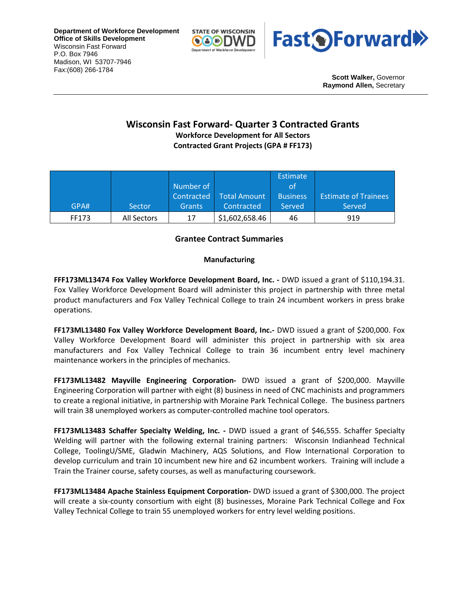**Department of Workforce Development Office of Skills Development** Wisconsin Fast Forward P.O. Box 7946 Madison, WI 53707-7946 Fax:(608) 266-1784





**Scott Walker,** Governor **Raymond Allen,** Secretary

# **Wisconsin Fast Forward- Quarter 3 Contracted Grants**

**Workforce Development for All Sectors Contracted Grant Projects (GPA # FF173)**

|       |             |               |                | <b>Estimate</b> |                             |
|-------|-------------|---------------|----------------|-----------------|-----------------------------|
|       |             | Number of     |                | οt              |                             |
|       |             | Contracted    | Total Amount   | <b>Business</b> | <b>Estimate of Trainees</b> |
| GPA#  | Sector      | <b>Grants</b> | Contracted     | Served          | Served                      |
| FF173 | All Sectors | 17            | \$1,602,658.46 | 46              | 919                         |

## **Grantee Contract Summaries**

## **Manufacturing**

**FFF173ML13474 Fox Valley Workforce Development Board, Inc. -** DWD issued a grant of \$110,194.31. Fox Valley Workforce Development Board will administer this project in partnership with three metal product manufacturers and Fox Valley Technical College to train 24 incumbent workers in press brake operations.

**FF173ML13480 Fox Valley Workforce Development Board, Inc.-** DWD issued a grant of \$200,000. Fox Valley Workforce Development Board will administer this project in partnership with six area manufacturers and Fox Valley Technical College to train 36 incumbent entry level machinery maintenance workers in the principles of mechanics.

**FF173ML13482 Mayville Engineering Corporation-** DWD issued a grant of \$200,000. Mayville Engineering Corporation will partner with eight (8) business in need of CNC machinists and programmers to create a regional initiative, in partnership with Moraine Park Technical College. The business partners will train 38 unemployed workers as computer-controlled machine tool operators.

**FF173ML13483 Schaffer Specialty Welding, Inc. -** DWD issued a grant of \$46,555. Schaffer Specialty Welding will partner with the following external training partners: Wisconsin Indianhead Technical College, ToolingU/SME, Gladwin Machinery, AQS Solutions, and Flow International Corporation to develop curriculum and train 10 incumbent new hire and 62 incumbent workers. Training will include a Train the Trainer course, safety courses, as well as manufacturing coursework.

**FF173ML13484 Apache Stainless Equipment Corporation-** DWD issued a grant of \$300,000. The project will create a six-county consortium with eight (8) businesses, Moraine Park Technical College and Fox Valley Technical College to train 55 unemployed workers for entry level welding positions.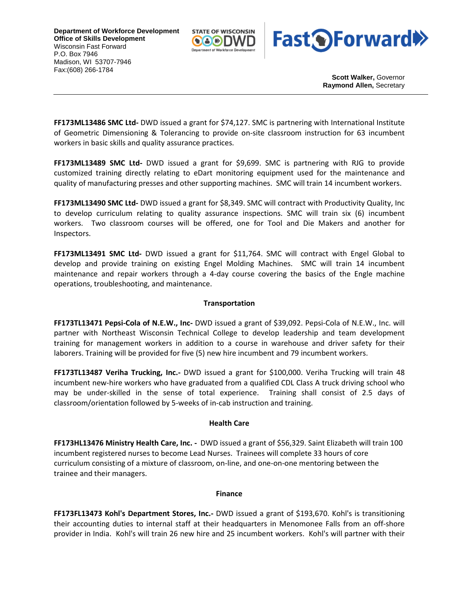**Department of Workforce Development Office of Skills Development** Wisconsin Fast Forward P.O. Box 7946 Madison, WI 53707-7946 Fax:(608) 266-1784





**Scott Walker,** Governor **Raymond Allen,** Secretary

**FF173ML13486 SMC Ltd-** DWD issued a grant for \$74,127. SMC is partnering with International Institute of Geometric Dimensioning & Tolerancing to provide on-site classroom instruction for 63 incumbent workers in basic skills and quality assurance practices.

**FF173ML13489 SMC Ltd-** DWD issued a grant for \$9,699. SMC is partnering with RJG to provide customized training directly relating to eDart monitoring equipment used for the maintenance and quality of manufacturing presses and other supporting machines. SMC will train 14 incumbent workers.

**FF173ML13490 SMC Ltd-** DWD issued a grant for \$8,349. SMC will contract with Productivity Quality, Inc to develop curriculum relating to quality assurance inspections. SMC will train six (6) incumbent workers. Two classroom courses will be offered, one for Tool and Die Makers and another for Inspectors.

**FF173ML13491 SMC Ltd-** DWD issued a grant for \$11,764. SMC will contract with Engel Global to develop and provide training on existing Engel Molding Machines. SMC will train 14 incumbent maintenance and repair workers through a 4-day course covering the basics of the Engle machine operations, troubleshooting, and maintenance.

### **Transportation**

**FF173TL13471 Pepsi-Cola of N.E.W., Inc-** DWD issued a grant of \$39,092. Pepsi-Cola of N.E.W., Inc. will partner with Northeast Wisconsin Technical College to develop leadership and team development training for management workers in addition to a course in warehouse and driver safety for their laborers. Training will be provided for five (5) new hire incumbent and 79 incumbent workers.

**FF173TL13487 Veriha Trucking, Inc.-** DWD issued a grant for \$100,000. Veriha Trucking will train 48 incumbent new-hire workers who have graduated from a qualified CDL Class A truck driving school who may be under-skilled in the sense of total experience. Training shall consist of 2.5 days of classroom/orientation followed by 5-weeks of in-cab instruction and training.

### **Health Care**

**FF173HL13476 Ministry Health Care, Inc. -** DWD issued a grant of \$56,329. Saint Elizabeth will train 100 incumbent registered nurses to become Lead Nurses. Trainees will complete 33 hours of core curriculum consisting of a mixture of classroom, on-line, and one-on-one mentoring between the trainee and their managers.

#### **Finance**

**FF173FL13473 Kohl's Department Stores, Inc.-** DWD issued a grant of \$193,670. Kohl's is transitioning their accounting duties to internal staff at their headquarters in Menomonee Falls from an off-shore provider in India. Kohl's will train 26 new hire and 25 incumbent workers. Kohl's will partner with their